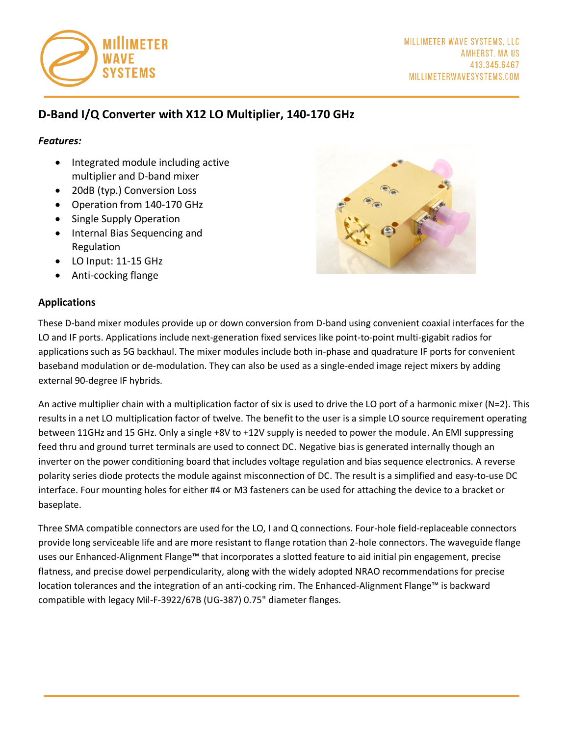

# **D-Band I/Q Converter with X12 LO Multiplier, 140-170 GHz**

#### *Features:*

- Integrated module including active multiplier and D-band mixer
- 20dB (typ.) Conversion Loss
- Operation from 140-170 GHz
- Single Supply Operation
- Internal Bias Sequencing and Regulation
- LO Input: 11-15 GHz
- Anti-cocking flange

#### **Applications**



These D-band mixer modules provide up or down conversion from D-band using convenient coaxial interfaces for the LO and IF ports. Applications include next-generation fixed services like point-to-point multi-gigabit radios for applications such as 5G backhaul. The mixer modules include both in-phase and quadrature IF ports for convenient baseband modulation or de-modulation. They can also be used as a single-ended image reject mixers by adding external 90-degree IF hybrids.

An active multiplier chain with a multiplication factor of six is used to drive the LO port of a harmonic mixer (N=2). This results in a net LO multiplication factor of twelve. The benefit to the user is a simple LO source requirement operating between 11GHz and 15 GHz. Only a single +8V to +12V supply is needed to power the module. An EMI suppressing feed thru and ground turret terminals are used to connect DC. Negative bias is generated internally though an inverter on the power conditioning board that includes voltage regulation and bias sequence electronics. A reverse polarity series diode protects the module against misconnection of DC. The result is a simplified and easy-to-use DC interface. Four mounting holes for either #4 or M3 fasteners can be used for attaching the device to a bracket or baseplate.

Three SMA compatible connectors are used for the LO, I and Q connections. Four-hole field-replaceable connectors provide long serviceable life and are more resistant to flange rotation than 2-hole connectors. The waveguide flange uses our Enhanced-Alignment Flange™ that incorporates a slotted feature to aid initial pin engagement, precise flatness, and precise dowel perpendicularity, along with the widely adopted NRAO recommendations for precise location tolerances and the integration of an anti-cocking rim. The Enhanced-Alignment Flange™ is backward compatible with legacy Mil-F-3922/67B (UG-387) 0.75" diameter flanges.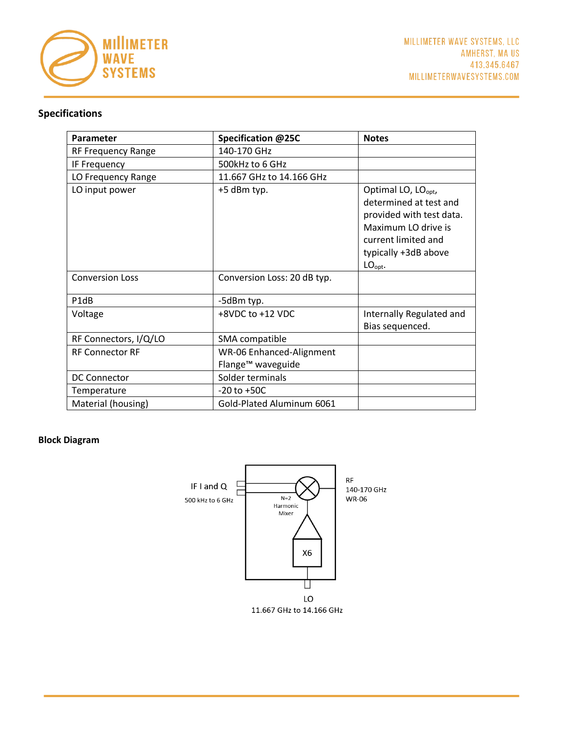

# **Specifications**

| <b>Parameter</b>          | Specification @25C                                        | <b>Notes</b>                                                                                                                                                                |
|---------------------------|-----------------------------------------------------------|-----------------------------------------------------------------------------------------------------------------------------------------------------------------------------|
| <b>RF Frequency Range</b> | 140-170 GHz                                               |                                                                                                                                                                             |
| IF Frequency              | 500kHz to 6 GHz                                           |                                                                                                                                                                             |
| LO Frequency Range        | 11.667 GHz to 14.166 GHz                                  |                                                                                                                                                                             |
| LO input power            | +5 dBm typ.                                               | Optimal LO, LO <sub>opt</sub> ,<br>determined at test and<br>provided with test data.<br>Maximum LO drive is<br>current limited and<br>typically +3dB above<br>$LO_{opt}$ . |
| <b>Conversion Loss</b>    | Conversion Loss: 20 dB typ.                               |                                                                                                                                                                             |
| P1dB                      | -5dBm typ.                                                |                                                                                                                                                                             |
| Voltage                   | +8VDC to +12 VDC                                          | Internally Regulated and<br>Bias sequenced.                                                                                                                                 |
| RF Connectors, I/Q/LO     | SMA compatible                                            |                                                                                                                                                                             |
| <b>RF Connector RF</b>    | WR-06 Enhanced-Alignment<br>Flange <sup>™</sup> waveguide |                                                                                                                                                                             |
| <b>DC Connector</b>       | Solder terminals                                          |                                                                                                                                                                             |
| Temperature               | $-20$ to $+50C$                                           |                                                                                                                                                                             |
| Material (housing)        | Gold-Plated Aluminum 6061                                 |                                                                                                                                                                             |

#### **Block Diagram**